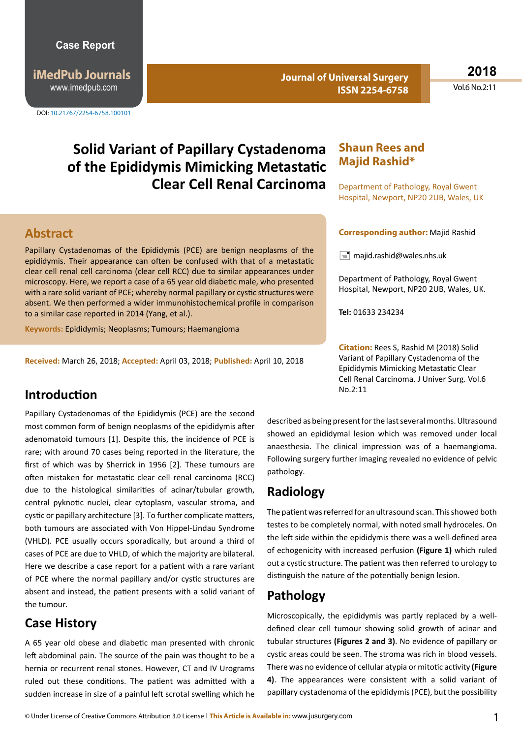**iMedPub Journals** www.imedpub.com

DOI: 10.21767/2254-6758.100101

**Journal of Universal Surgery ISSN 2254-6758**

**2018** Vol.6 No.2:11

# **Solid Variant of Papillary Cystadenoma of the Epididymis Mimicking Metastatic Clear Cell Renal Carcinoma**

#### **Abstract**

Papillary Cystadenomas of the Epididymis (PCE) are benign neoplasms of the epididymis. Their appearance can often be confused with that of a metastatic clear cell renal cell carcinoma (clear cell RCC) due to similar appearances under microscopy. Here, we report a case of a 65 year old diabetic male, who presented with a rare solid variant of PCE; whereby normal papillary or cystic structures were absent. We then performed a wider immunohistochemical profile in comparison to a similar case reported in 2014 (Yang, et al.).

**Keywords:** Epididymis; Neoplasms; Tumours; Haemangioma

**Received:** March 26, 2018; **Accepted:** April 03, 2018; **Published:** April 10, 2018

#### **Shaun Rees and Majid Rashid\***

Department of Pathology, Royal Gwent Hospital, Newport, NP20 2UB, Wales, UK

#### **Corresponding author:** Majid Rashid

 $\equiv$  majid.rashid@wales.nhs.uk

Department of Pathology, Royal Gwent Hospital, Newport, NP20 2UB, Wales, UK.

**Tel:** 01633 234234

**Citation:** Rees S, Rashid M (2018) Solid Variant of Papillary Cystadenoma of the Epididymis Mimicking Metastatic Clear Cell Renal Carcinoma. J Univer Surg. Vol.6

# **Introduction** No.2:11

Papillary Cystadenomas of the Epididymis (PCE) are the second most common form of benign neoplasms of the epididymis after adenomatoid tumours [1]. Despite this, the incidence of PCE is rare; with around 70 cases being reported in the literature, the first of which was by Sherrick in 1956 [2]. These tumours are often mistaken for metastatic clear cell renal carcinoma (RCC) due to the histological similarities of acinar/tubular growth, central pyknotic nuclei, clear cytoplasm, vascular stroma, and cystic or papillary architecture [3]. To further complicate matters, both tumours are associated with Von Hippel-Lindau Syndrome (VHLD). PCE usually occurs sporadically, but around a third of cases of PCE are due to VHLD, of which the majority are bilateral. Here we describe a case report for a patient with a rare variant of PCE where the normal papillary and/or cystic structures are absent and instead, the patient presents with a solid variant of the tumour.

#### **Case History**

A 65 year old obese and diabetic man presented with chronic left abdominal pain. The source of the pain was thought to be a hernia or recurrent renal stones. However, CT and IV Urograms ruled out these conditions. The patient was admitted with a sudden increase in size of a painful left scrotal swelling which he described as being present for the last several months. Ultrasound showed an epididymal lesion which was removed under local anaesthesia. The clinical impression was of a haemangioma. Following surgery further imaging revealed no evidence of pelvic pathology.

#### **Radiology**

The patient was referred for an ultrasound scan. This showed both testes to be completely normal, with noted small hydroceles. On the left side within the epididymis there was a well-defined area of echogenicity with increased perfusion **(Figure 1)** which ruled out a cystic structure. The patient was then referred to urology to distinguish the nature of the potentially benign lesion.

### **Pathology**

Microscopically, the epididymis was partly replaced by a welldefined clear cell tumour showing solid growth of acinar and tubular structures **(Figures 2 and 3)**. No evidence of papillary or cystic areas could be seen. The stroma was rich in blood vessels. There was no evidence of cellular atypia or mitotic activity **(Figure 4)**. The appearances were consistent with a solid variant of papillary cystadenoma of the epididymis (PCE), but the possibility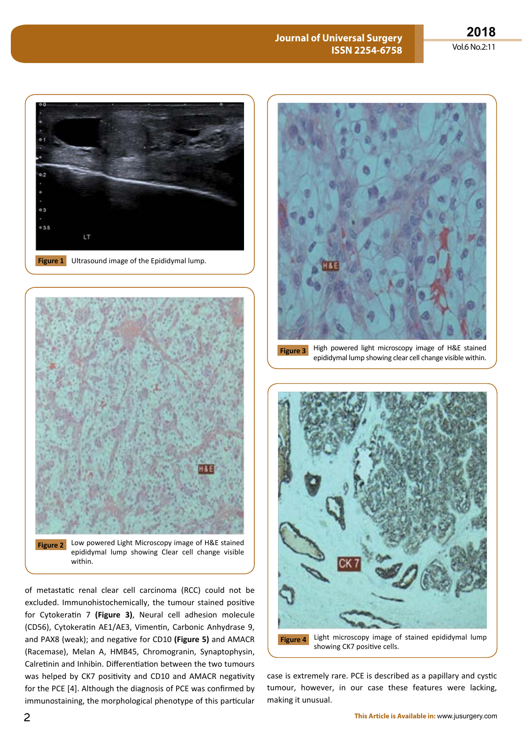#### **Journal of Universal Surgery ISSN 2254-6758**





**Figure 2** Low powered Light Microscopy image of H&E stained epididymal lump showing Clear cell change visible within.

of metastatic renal clear cell carcinoma (RCC) could not be excluded. Immunohistochemically, the tumour stained positive for Cytokeratin 7 **(Figure 3)**, Neural cell adhesion molecule (CD56), Cytokeratin AE1/AE3, Vimentin, Carbonic Anhydrase 9, and PAX8 (weak); and negative for CD10 **(Figure 5)** and AMACR (Racemase), Melan A, HMB45, Chromogranin, Synaptophysin, Calretinin and Inhibin. Differentiation between the two tumours was helped by CK7 positivity and CD10 and AMACR negativity for the PCE [4]. Although the diagnosis of PCE was confirmed by immunostaining, the morphological phenotype of this particular



**Figure 3** High powered light microscopy image of H&E stained epididymal lump showing clear cell change visible within.



case is extremely rare. PCE is described as a papillary and cystic tumour, however, in our case these features were lacking, making it unusual.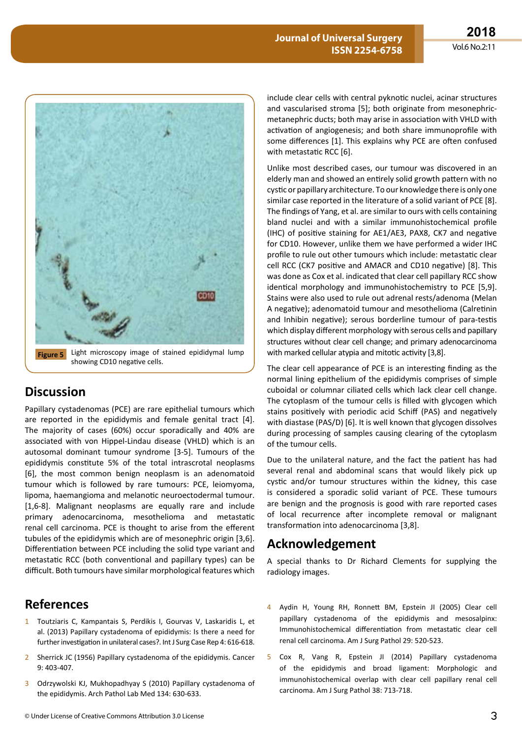

## **Discussion**

Papillary cystadenomas (PCE) are rare epithelial tumours which are reported in the epididymis and female genital tract [4]. The majority of cases (60%) occur sporadically and 40% are associated with von Hippel-Lindau disease (VHLD) which is an autosomal dominant tumour syndrome [3-5]. Tumours of the epididymis constitute 5% of the total intrascrotal neoplasms [6], the most common benign neoplasm is an adenomatoid tumour which is followed by rare tumours: PCE, leiomyoma, lipoma, haemangioma and melanotic neuroectodermal tumour. [1,6-8]. Malignant neoplasms are equally rare and include primary adenocarcinoma, mesothelioma and metastatic renal cell carcinoma. PCE is thought to arise from the efferent tubules of the epididymis which are of mesonephric origin [3,6]. Differentiation between PCE including the solid type variant and metastatic RCC (both conventional and papillary types) can be difficult. Both tumours have similar morphological features which

# **References**

- 1 Toutziaris C, Kampantais S, Perdikis I, Gourvas V, Laskaridis L, et al. (2013) Papillary cystadenoma of epididymis: Is there a need for further investigation in unilateral cases?. Int J Surg Case Rep 4: 616-618.
- 2 Sherrick JC (1956) Papillary cystadenoma of the epididymis. Cancer 9: 403-407.
- 3 Odrzywolski KJ, Mukhopadhyay S (2010) Papillary cystadenoma of the epididymis. Arch Pathol Lab Med 134: 630-633.

include clear cells with central pyknotic nuclei, acinar structures and vascularised stroma [5]; both originate from mesonephricmetanephric ducts; both may arise in association with VHLD with activation of angiogenesis; and both share immunoprofile with some differences [1]. This explains why PCE are often confused with metastatic RCC [6].

Unlike most described cases, our tumour was discovered in an elderly man and showed an entirely solid growth pattern with no cystic or papillary architecture. To our knowledge there is only one similar case reported in the literature of a solid variant of PCE [8]. The findings of Yang, et al. are similar to ours with cells containing bland nuclei and with a similar immunohistochemical profile (IHC) of positive staining for AE1/AE3, PAX8, CK7 and negative for CD10. However, unlike them we have performed a wider IHC profile to rule out other tumours which include: metastatic clear cell RCC (CK7 positive and AMACR and CD10 negative) [8]. This was done as Cox et al. indicated that clear cell papillary RCC show identical morphology and immunohistochemistry to PCE [5,9]. Stains were also used to rule out adrenal rests/adenoma (Melan A negative); adenomatoid tumour and mesothelioma (Calretinin and Inhibin negative); serous borderline tumour of para-testis which display different morphology with serous cells and papillary structures without clear cell change; and primary adenocarcinoma with marked cellular atypia and mitotic activity [3,8].

The clear cell appearance of PCE is an interesting finding as the normal lining epithelium of the epididymis comprises of simple cuboidal or columnar ciliated cells which lack clear cell change. The cytoplasm of the tumour cells is filled with glycogen which stains positively with periodic acid Schiff (PAS) and negatively with diastase (PAS/D) [6]. It is well known that glycogen dissolves during processing of samples causing clearing of the cytoplasm of the tumour cells.

Due to the unilateral nature, and the fact the patient has had several renal and abdominal scans that would likely pick up cystic and/or tumour structures within the kidney, this case is considered a sporadic solid variant of PCE. These tumours are benign and the prognosis is good with rare reported cases of local recurrence after incomplete removal or malignant transformation into adenocarcinoma [3,8].

## **Acknowledgement**

A special thanks to Dr Richard Clements for supplying the radiology images.

- 4 Aydin H, Young RH, Ronnett BM, Epstein JI (2005) Clear cell papillary cystadenoma of the epididymis and mesosalpinx: Immunohistochemical differentiation from metastatic clear cell renal cell carcinoma. Am J Surg Pathol 29: 520-523.
- 5 Cox R, Vang R, Epstein JI (2014) Papillary cystadenoma of the epididymis and broad ligament: Morphologic and immunohistochemical overlap with clear cell papillary renal cell carcinoma. Am J Surg Pathol 38: 713-718.